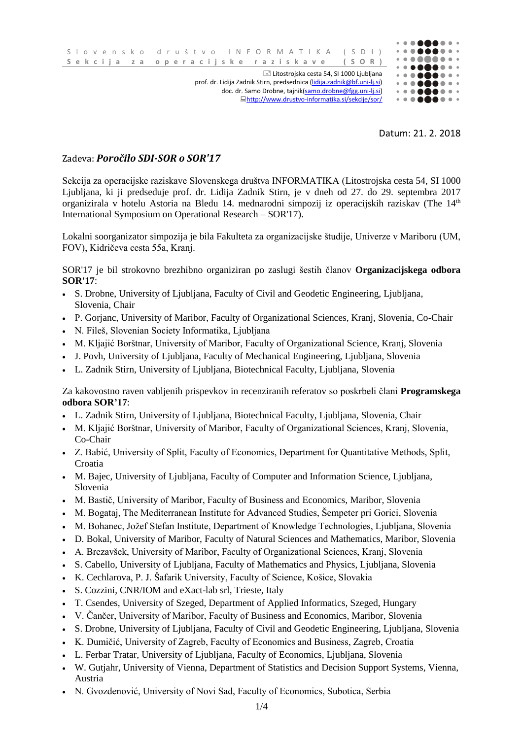

Datum: 21. 2. 2018

## Zadeva: *Poročilo SDI-SOR o SOR'17*

Sekcija za operacijske raziskave Slovenskega društva INFORMATIKA (Litostrojska cesta 54, SI 1000 Ljubljana, ki ji predseduje prof. dr. Lidija Zadnik Stirn, je v dneh od 27. do 29. septembra 2017 organizirala v hotelu Astoria na Bledu 14. mednarodni simpozij iz operacijskih raziskav (The 14<sup>th</sup> International Symposium on Operational Research – SOR'17).

Lokalni soorganizator simpozija je bila Fakulteta za organizacijske študije, Univerze v Mariboru (UM, FOV), Kidričeva cesta 55a, Kranj.

SOR'17 je bil strokovno brezhibno organiziran po zaslugi šestih članov **Organizacijskega odbora SOR'17**:

- S. Drobne, University of Ljubljana, Faculty of Civil and Geodetic Engineering, Ljubljana, Slovenia, Chair
- P. Gorjanc, University of Maribor, Faculty of Organizational Sciences, Kranj, Slovenia, Co-Chair
- N. Fileš, Slovenian Society Informatika, Ljubljana
- M. Kljajić Borštnar, University of Maribor, Faculty of Organizational Science, Kranj, Slovenia
- J. Povh, University of Ljubljana, Faculty of Mechanical Engineering, Ljubljana, Slovenia
- L. Zadnik Stirn, University of Ljubljana, Biotechnical Faculty, Ljubljana, Slovenia

Za kakovostno raven vabljenih prispevkov in recenziranih referatov so poskrbeli člani **Programskega odbora SOR'17**:

- L. Zadnik Stirn, University of Ljubljana, Biotechnical Faculty, Ljubljana, Slovenia, Chair
- M. Kljajić Borštnar, University of Maribor, Faculty of Organizational Sciences, Kranj, Slovenia, Co-Chair
- Z. Babić, University of Split, Faculty of Economics, Department for Quantitative Methods, Split, Croatia
- M. Bajec, University of Ljubljana, Faculty of Computer and Information Science, Ljubljana, Slovenia
- M. Bastič, University of Maribor, Faculty of Business and Economics, Maribor, Slovenia
- M. Bogataj, The Mediterranean Institute for Advanced Studies, Šempeter pri Gorici, Slovenia
- M. Bohanec, Jožef Stefan Institute, Department of Knowledge Technologies, Ljubljana, Slovenia
- D. Bokal, University of Maribor, Faculty of Natural Sciences and Mathematics, Maribor, Slovenia
- A. Brezavšek, University of Maribor, Faculty of Organizational Sciences, Kranj, Slovenia
- S. Cabello, University of Ljubljana, Faculty of Mathematics and Physics, Ljubljana, Slovenia
- K. Cechlarova, P. J. Šafarik University, Faculty of Science, Košice, Slovakia
- S. Cozzini, CNR/IOM and eXact-lab srl, Trieste, Italy
- T. Csendes, University of Szeged, Department of Applied Informatics, Szeged, Hungary
- V. Čančer, University of Maribor, Faculty of Business and Economics, Maribor, Slovenia
- S. Drobne, University of Ljubljana, Faculty of Civil and Geodetic Engineering, Ljubljana, Slovenia
- K. Dumičić, University of Zagreb, Faculty of Economics and Business, Zagreb, Croatia
- L. Ferbar Tratar, University of Ljubljana, Faculty of Economics, Ljubljana, Slovenia
- W. Gutjahr, University of Vienna, Department of Statistics and Decision Support Systems, Vienna, Austria
- N. Gvozdenović, University of Novi Sad, Faculty of Economics, Subotica, Serbia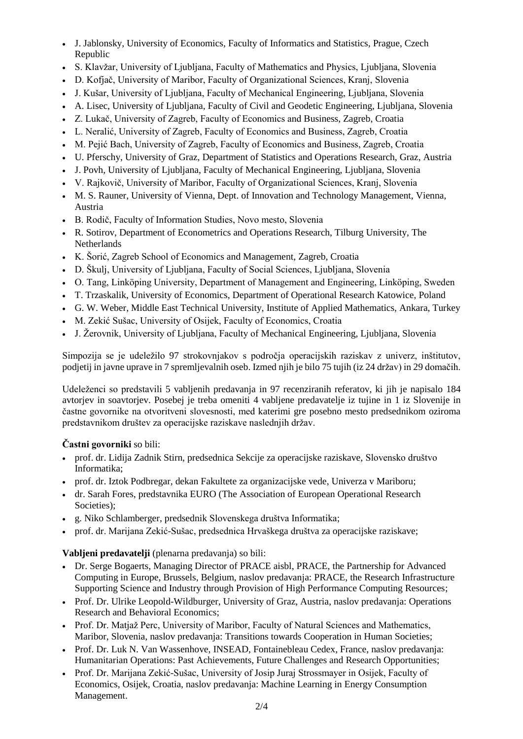- J. Jablonsky, University of Economics, Faculty of Informatics and Statistics, Prague, Czech Republic
- S. Klavžar, University of Ljubljana, Faculty of Mathematics and Physics, Ljubljana, Slovenia
- D. Kofjač, University of Maribor, Faculty of Organizational Sciences, Kranj, Slovenia
- J. Kušar, University of Ljubljana, Faculty of Mechanical Engineering, Ljubljana, Slovenia
- A. Lisec, University of Ljubljana, Faculty of Civil and Geodetic Engineering, Ljubljana, Slovenia
- Z. Lukač, University of Zagreb, Faculty of Economics and Business, Zagreb, Croatia
- L. Neralić, University of Zagreb, Faculty of Economics and Business, Zagreb, Croatia
- M. Pejić Bach, University of Zagreb, Faculty of Economics and Business, Zagreb, Croatia
- U. Pferschy, University of Graz, Department of Statistics and Operations Research, Graz, Austria
- J. Povh, University of Ljubljana, Faculty of Mechanical Engineering, Ljubljana, Slovenia
- V. Rajkovič, University of Maribor, Faculty of Organizational Sciences, Kranj, Slovenia
- M. S. Rauner, University of Vienna, Dept. of Innovation and Technology Management, Vienna, Austria
- B. Rodič, Faculty of Information Studies, Novo mesto, Slovenia
- R. Sotirov, Department of Econometrics and Operations Research, Tilburg University, The Netherlands
- K. Šorić, Zagreb School of Economics and Management, Zagreb, Croatia
- D. Škulj, University of Ljubljana, Faculty of Social Sciences, Ljubljana, Slovenia
- O. Tang, Linköping University, Department of Management and Engineering, Linköping, Sweden
- T. Trzaskalik, University of Economics, Department of Operational Research Katowice, Poland
- G. W. Weber, Middle East Technical University, Institute of Applied Mathematics, Ankara, Turkey
- M. Zekić Sušac, University of Osijek, Faculty of Economics, Croatia
- J. Žerovnik, University of Ljubljana, Faculty of Mechanical Engineering, Ljubljana, Slovenia

Simpozija se je udeležilo 97 strokovnjakov s področja operacijskih raziskav z univerz, inštitutov, podjetij in javne uprave in 7 spremljevalnih oseb. Izmed njih je bilo 75 tujih (iz 24 držav) in 29 domačih.

Udeleženci so predstavili 5 vabljenih predavanja in 97 recenziranih referatov, ki jih je napisalo 184 avtorjev in soavtorjev. Posebej je treba omeniti 4 vabljene predavatelje iz tujine in 1 iz Slovenije in častne govornike na otvoritveni slovesnosti, med katerimi gre posebno mesto predsednikom oziroma predstavnikom društev za operacijske raziskave naslednjih držav.

## **Častni govorniki** so bili:

- prof. dr. Lidija Zadnik Stirn, predsednica Sekcije za operacijske raziskave, Slovensko društvo Informatika;
- prof. dr. Iztok Podbregar, dekan Fakultete za organizacijske vede, Univerza v Mariboru;
- dr. Sarah Fores, predstavnika EURO (The Association of European Operational Research Societies):
- g. Niko Schlamberger, predsednik Slovenskega društva Informatika;
- prof. dr. Marijana Zekić-Sušac, predsednica Hrvaškega društva za operacijske raziskave;

## **Vabljeni predavatelji** (plenarna predavanja) so bili:

- Dr. Serge Bogaerts, Managing Director of PRACE aisbl. PRACE, the Partnership for Advanced Computing in Europe, Brussels, Belgium, naslov predavanja: PRACE, the Research Infrastructure Supporting Science and Industry through Provision of High Performance Computing Resources;
- Prof. Dr. Ulrike Leopold-Wildburger, University of Graz, Austria, naslov predavanja: Operations Research and Behavioral Economics;
- Prof. Dr. Matjaž Perc, University of Maribor, Faculty of Natural Sciences and Mathematics, Maribor, Slovenia, naslov predavanja: Transitions towards Cooperation in Human Societies;
- Prof. Dr. Luk N. Van Wassenhove, INSEAD, Fontainebleau Cedex, France, naslov predavanja: Humanitarian Operations: Past Achievements, Future Challenges and Research Opportunities;
- Prof. Dr. Marijana Zekić-Sušac, University of Josip Juraj Strossmayer in Osijek, Faculty of Economics, Osijek, Croatia, naslov predavanja: Machine Learning in Energy Consumption Management.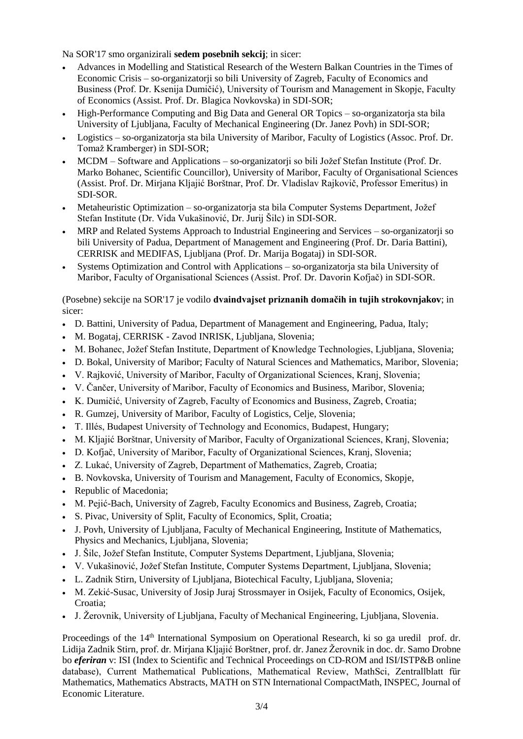Na SOR'17 smo organizirali **sedem posebnih sekcij**; in sicer:

- Advances in Modelling and Statistical Research of the Western Balkan Countries in the Times of Economic Crisis – so-organizatorji so bili University of Zagreb, Faculty of Economics and Business (Prof. Dr. Ksenija Dumičić), University of Tourism and Management in Skopje, Faculty of Economics (Assist. Prof. Dr. Blagica Novkovska) in SDI-SOR;
- High-Performance Computing and Big Data and General OR Topics so-organizatorja sta bila University of Ljubljana, Faculty of Mechanical Engineering (Dr. Janez Povh) in SDI-SOR;
- Logistics so-organizatorja sta bila University of Maribor, Faculty of Logistics (Assoc. Prof. Dr. Tomaž Kramberger) in SDI-SOR;
- MCDM Software and Applications so-organizatorji so bili Jožef Stefan Institute (Prof. Dr. Marko Bohanec, Scientific Councillor), University of Maribor, Faculty of Organisational Sciences (Assist. Prof. Dr. Mirjana Kljajić Borštnar, Prof. Dr. Vladislav Rajkovič, Professor Emeritus) in SDI-SOR.
- Metaheuristic Optimization so-organizatoria sta bila Computer Systems Department, Jožef Stefan Institute (Dr. Vida Vukašinović, Dr. Jurij Šilc) in SDI-SOR.
- MRP and Related Systems Approach to Industrial Engineering and Services so-organizatorji so bili University of Padua, Department of Management and Engineering (Prof. Dr. Daria Battini), CERRISK and MEDIFAS, Ljubljana (Prof. Dr. Marija Bogataj) in SDI-SOR.
- Systems Optimization and Control with Applications so-organizatorja sta bila University of Maribor, Faculty of Organisational Sciences (Assist. Prof. Dr. Davorin Kofjač) in SDI-SOR.

(Posebne) sekcije na SOR'17 je vodilo **dvaindvajset priznanih domačih in tujih strokovnjakov**; in sicer:

- D. Battini, University of Padua, Department of Management and Engineering, Padua, Italy;
- M. Bogataj, CERRISK Zavod INRISK, Ljubljana, Slovenia;
- M. Bohanec, Jožef Stefan Institute, Department of Knowledge Technologies, Ljubljana, Slovenia;
- D. Bokal, University of Maribor; Faculty of Natural Sciences and Mathematics, Maribor, Slovenia;
- V. Rajković, University of Maribor, Faculty of Organizational Sciences, Kranj, Slovenia;
- V. Čančer, University of Maribor, Faculty of Economics and Business, Maribor, Slovenia;
- K. Dumičić, University of Zagreb, Faculty of Economics and Business, Zagreb, Croatia;
- R. Gumzej, University of Maribor, Faculty of Logistics, Celje, Slovenia;
- T. Illés, Budapest University of Technology and Economics, Budapest, Hungary;
- M. Kljajić Borštnar, University of Maribor, Faculty of Organizational Sciences, Kranj, Slovenia;
- D. Kofjač, University of Maribor, Faculty of Organizational Sciences, Kranj, Slovenia;
- Z. Lukać, University of Zagreb, Department of Mathematics, Zagreb, Croatia;
- B. Novkovska, University of Tourism and Management, Faculty of Economics, Skopje,
- Republic of Macedonia;
- M. Pejić-Bach, University of Zagreb, Faculty Economics and Business, Zagreb, Croatia;
- S. Pivac, University of Split, Faculty of Economics, Split, Croatia;
- J. Povh, University of Ljubljana, Faculty of Mechanical Engineering, Institute of Mathematics, Physics and Mechanics, Ljubljana, Slovenia;
- J. Šilc, Jožef Stefan Institute, Computer Systems Department, Ljubljana, Slovenia;
- V. Vukašinović, Jožef Stefan Institute, Computer Systems Department, Ljubljana, Slovenia;
- L. Zadnik Stirn, University of Ljubljana, Biotechical Faculty, Ljubljana, Slovenia;
- M. Zekić-Susac, University of Josip Juraj Strossmayer in Osijek, Faculty of Economics, Osijek, Croatia;
- J. Žerovnik, University of Ljubljana, Faculty of Mechanical Engineering, Ljubljana, Slovenia.

Proceedings of the 14<sup>th</sup> International Symposium on Operational Research, ki so ga uredil prof. dr. Lidija Zadnik Stirn, prof. dr. Mirjana Kljajić Borštner, prof. dr. Janez Žerovnik in doc. dr. Samo Drobne bo *eferiran* v: ISI (Index to Scientific and Technical Proceedings on CD-ROM and ISI/ISTP&B online database), Current Mathematical Publications, Mathematical Review, MathSci, Zentrallblatt für Mathematics, Mathematics Abstracts, MATH on STN International CompactMath, INSPEC, Journal of Economic Literature.